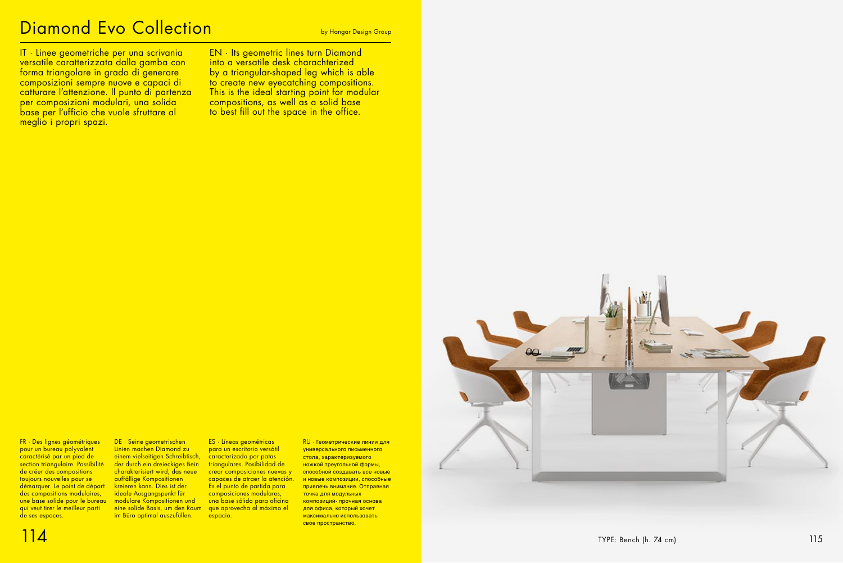## Diamond Evo Collection

IT · Linee geometriche per una scrivania versatile caratterizzata dalla gamba con forma triangolare in grado di generare composizioni sempre nuove e capaci di catturare l'attenzione. Il punto di partenza per composizioni modulari, una solida base per l'ufficio che vuole sfruttare al meglio i propri spazi.

EN · Its geometric lines turn Diamond into a versatile desk charachterized by a triangular-shaped leg which is able to create new eyecatching compositions. This is the ideal starting point for modular compositions, as well as a solid base to best fill out the space in the office.

DE · Seine geometrischen Linien machen Diamond zu einem vielseitigen Schreibtisch, der durch ein dreieckiges Bein charakterisiert wird, das neue auffällige Kompositionen kreieren kann. Dies ist der ideale Ausgangspunkt für modulare Kompositionen und eine solide Basis, um den Raum im Büro optimal auszufüllen.



RU · Геометрические линии для универсального письменного стола, характеризуемого ножкой треугольной формы, способной создавать все новые и новые композиции, способные привлечь внимание. Отправная точка для модульных композиций- прочная основа для офиса, который хочет максимально использовать свое пространство.



ES · Líneas geométricas para un escritorio versátil caracterizado por patas triangulares. Posibilidad de crear composiciones nuevas y capaces de atraer la atención. Es el punto de partida para composiciones modulares, una base sólida para oficina que aprovecha al máximo el espacio.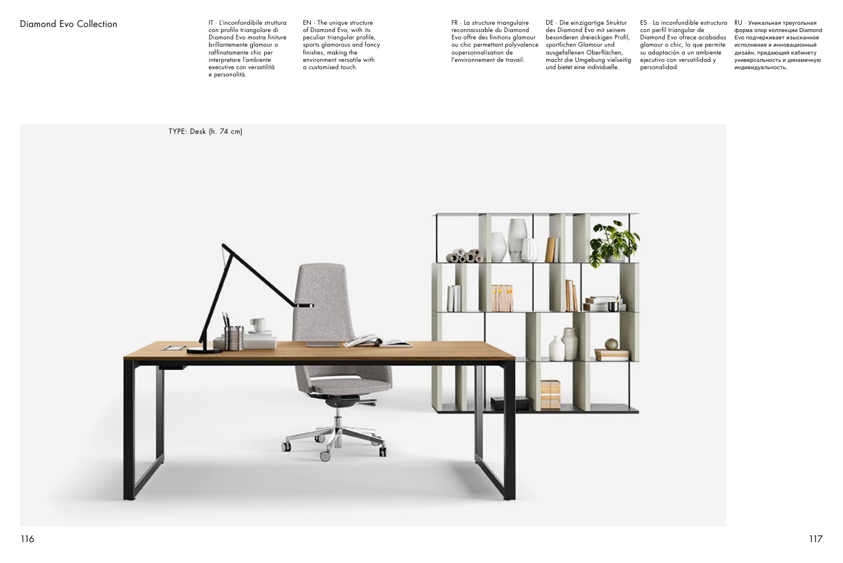FR · La structure triangulaire reconnaissable du Diamond Evo offre des finitions glamour ou chic permettant polyvalence oupersonnalisation de l'environnement de travail.

DE · Die einzigartige Struktur des Diamond Evo mit seinem besonderen dreieckigen Profil, sportlichen Glamour und ausgefallenen Oberflächen, macht die Umgebung vielseitig und bietet eine individuelle.

ES · La inconfundible estructura con perfil triangular de Diamond Evo ofrece acabados glamour o chic, lo que permite su adaptación a un ambiente ejecutivo con versatilidad y personalidad.

RU · Уникальная треугольная форма опор коллекции Diamond Evo подчеркивает изысканное исполнение и инновационный дизайн, придающий кабинету универсальность и динамичную индивидуальность.



## Diamond Evo Collection

TYPE: Desk (h. 74 cm)



IT · L'inconfondibile struttura con profilo triangolare di Diamond Evo mostra finiture brillantemente glamour o raffinatamente chic per interpretare l'ambiente executive con versatilità e personalità.

EN · The unique structure of Diamond Evo, with its peculiar triangular profile, sports glamorous and fancy finishes, making the environment versatile with a customised touch.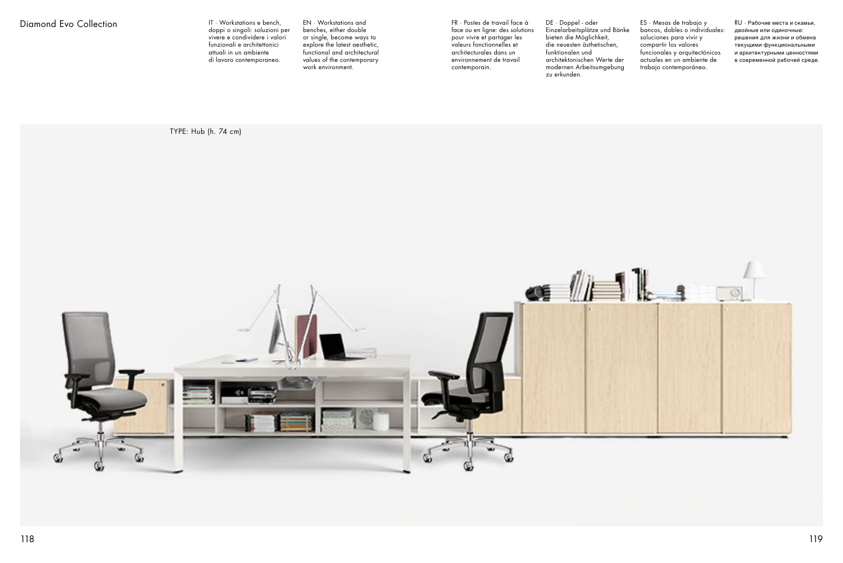FR · Postes de travail face à face ou en ligne: des solutions pour vivre et partager les valeurs fonctionnelles et architecturales dans un environnement de travail contemporain.

DE · Doppel - oder Einzelarbeitsplätze und Bänke bieten die Möglichkeit, die neuesten ästhetischen, funktionalen und architektonischen Werte der modernen Arbeitsumgebung zu erkunden.

ES · Mesas de trabajo y bancos, dobles o individuales: soluciones para vivir y compartir los valores funcionales y arquitectónicos actuales en un ambiente de trabajo contemporáneo.

RU · Рабочие места и скамьи, двойные или одиночные: решения для жизни и обмена текущими функциональными и архитектурными ценностями в современной рабочей среде.

IT · Workstations e bench, doppi o singoli: soluzioni per vivere e condividere i valori funzionali e architettonici attuali in un ambiente di lavoro contemporaneo.

EN · Workstations and benches, either double or single, become ways to explore the latest aesthetic, functional and architectural values of the contemporary work environment.

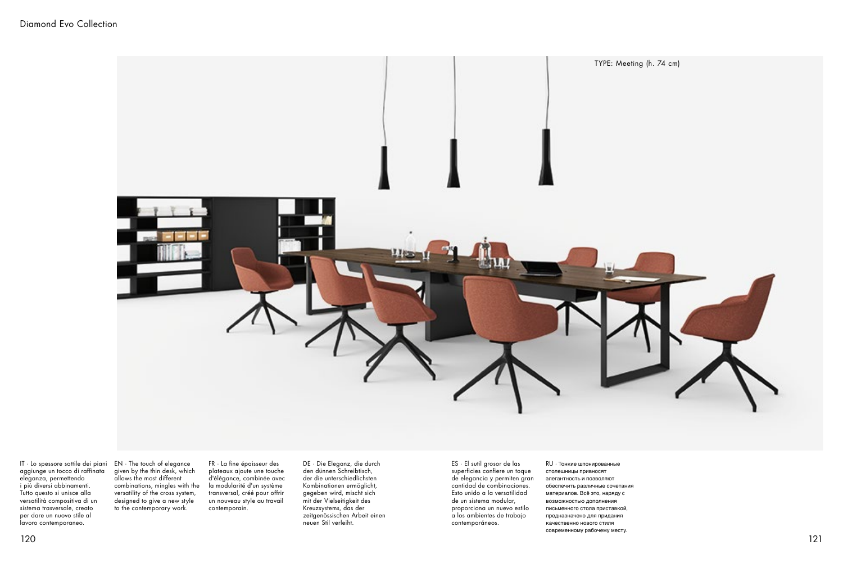IT · Lo spessore sottile dei piani aggiunge un tocco di raffinata eleganza, permettendo i più diversi abbinamenti. Tutto questo si unisce alla versatilità compositiva di un sistema trasversale, creato per dare un nuovo stile al lavoro contemporaneo.

EN · The touch of elegance given by the thin desk, which allows the most different combinations, mingles with the versatility of the cross system, designed to give a new style to the contemporary work.

FR · La fine épaisseur des plateaux ajoute une touche d'élégance, combinée avec la modularité d'un système transversal, créé pour offrir un nouveau style au travail contemporain.

DE · Die Eleganz, die durch den dünnen Schreibtisch, der die unterschiedlichsten Kombinationen ermöglicht, gegeben wird, mischt sich mit der Vielseitigkeit des Kreuzsystems, das der zeitgenössischen Arbeit einen neuen Stil verleiht.

ES · El sutil grosor de las superficies confiere un toque de elegancia y permiten gran cantidad de combinaciones. Esto unido a la versatilidad de un sistema modular, proporciona un nuevo estilo a los ambientes de trabajo contemporáneos.

RU · Тонкие шпонированные столешницы привносят элегантность и позволяют обеспечить различные сочетания материалов. Всё это, наряду с возможностью дополнения письменного стола приставкой, предназначено для придания качественно нового стиля современному рабочему месту.

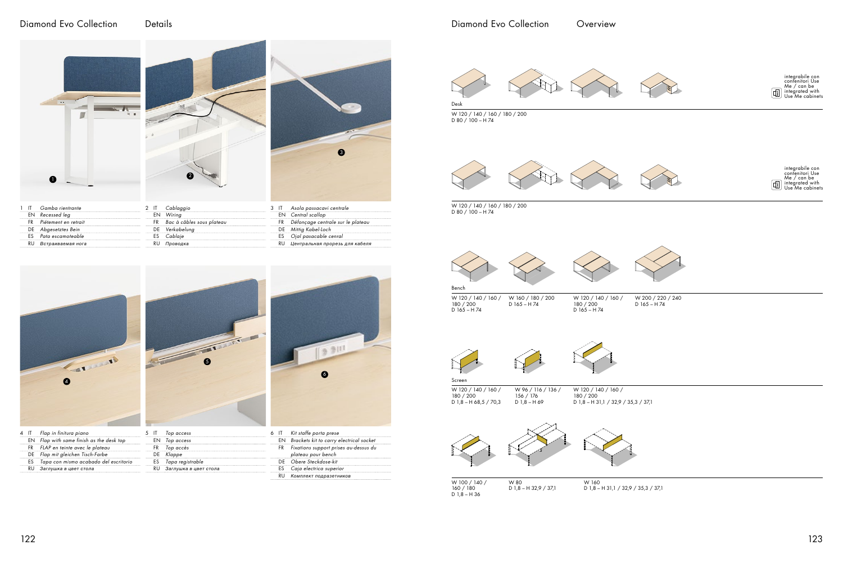| ES Tapa con mismo acabado del escritorio |
|------------------------------------------|
|                                          |
|                                          |



W 120 / 140 / 160 / 180 / 200 D 1,8 – H 68,5 / 70,3 156 / 176  $D = 1,8 - H = 69$ 

 $D$  1,8 – H 36 W 80 D 1,8 – H 32,9 / 37,1

|      | IT Kit staffe porta prese                                   |
|------|-------------------------------------------------------------|
|      | EN Brackets kit to carry electrical socket                  |
| FR 1 | Fixations support prises au-dessus du<br>plateau pour bench |
|      | DE Obere Steckdose-kit                                      |
|      | ES Caja electrica superior                                  |
|      | RU Комплект подразетников                                   |



## Diamond Evo Collection Details





| œ<br>$\bullet$ | James |  |
|----------------|-------|--|
|                |       |  |



FR *Top accès* DE *Klappe* ES *Tapa registrable* RU *Заглушка в цвет стола*







W 120 / 140 / 160 / 180 / 200 D 80 / 100 – H 74



W 120 / 140 / 160 / 180 / 200 D 80 / 100 – H 74





160 / 180

W 160 D 1,8 – H 31,1 / 32,9 / 35,3 / 37,1

W 120 / 140 / 160 / 180 / 200 D 165 – H 74 W 160 / 180 / 200 D 165 – H 74 Bench

> W 120 / 140 / 160 / 180 / 200 D 1,8 – H 31,1 / 32,9 / 35,3 / 37,1

W 120 / 140 / 160 / 180 / 200 D 165 – H 74





W 200 / 220 / 240 D 165 – H 74